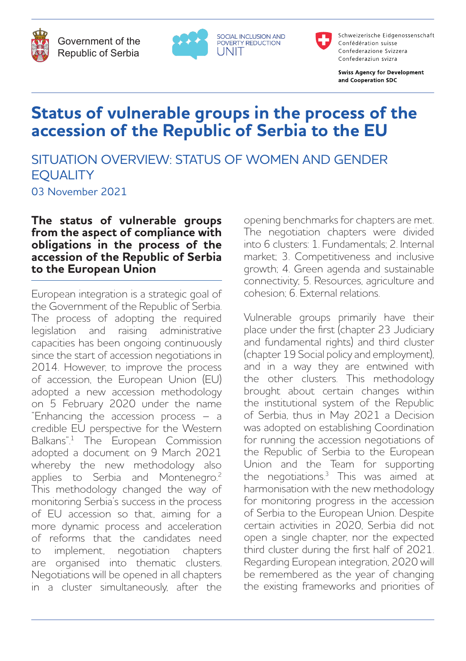

Government of the Republic of Serbia





Schweizerische Eidgenossenschaft Confédération suisse Confederazione Svizzera Confederaziun svizra

**Swiss Agency for Development** and Cooperation SDC

# **Status of vulnerable groups in the process of the accession of the Republic of Serbia to the EU**

UNIT

# SITUATION OVERVIEW: STATUS OF WOMEN AND GENDER **EQUALITY**

03 November 2021

**The status of vulnerable groups from the aspect of compliance with obligations in the process of the accession of the Republic of Serbia to the European Union**

European integration is a strategic goal of the Government of the Republic of Serbia. The process of adopting the required legislation and raising administrative capacities has been ongoing continuously since the start of accession negotiations in 2014. However, to improve the process of accession, the European Union (EU) adopted a new accession methodology on 5 February 2020 under the name "Enhancing the accession process – a credible EU perspective for the Western Balkans".1 The European Commission adopted a document on 9 March 2021 whereby the new methodology also applies to Serbia and Montenegro.<sup>2</sup> This methodology changed the way of monitoring Serbia's success in the process of EU accession so that, aiming for a more dynamic process and acceleration of reforms that the candidates need to implement, negotiation chapters are organised into thematic clusters. Negotiations will be opened in all chapters in a cluster simultaneously, after the

opening benchmarks for chapters are met. The negotiation chapters were divided into 6 clusters: 1. Fundamentals; 2. Internal market; 3. Competitiveness and inclusive growth; 4. Green agenda and sustainable connectivity; 5. Resources, agriculture and cohesion; 6. External relations.

Vulnerable groups primarily have their place under the first (chapter 23 Judiciary and fundamental rights) and third cluster (chapter 19 Social policy and employment), and in a way they are entwined with the other clusters. This methodology brought about certain changes within the institutional system of the Republic of Serbia, thus in May 2021 a Decision was adopted on establishing Coordination for running the accession negotiations of the Republic of Serbia to the European Union and the Team for supporting the negotiations. $3$  This was aimed at harmonisation with the new methodology for monitoring progress in the accession of Serbia to the European Union. Despite certain activities in 2020, Serbia did not open a single chapter, nor the expected third cluster during the first half of 2021. Regarding European integration, 2020 will be remembered as the year of changing the existing frameworks and priorities of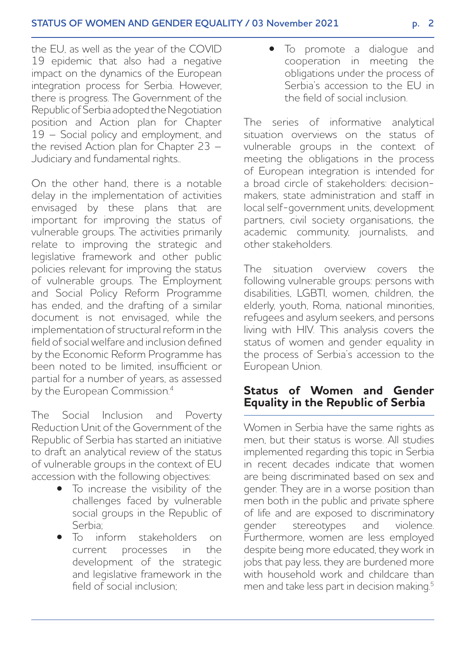the EU, as well as the year of the COVID 19 epidemic that also had a negative impact on the dynamics of the European integration process for Serbia. However, there is progress. The Government of the Republic of Serbia adopted the Negotiation position and Action plan for Chapter 19 – Social policy and employment, and the revised Action plan for Chapter 23 – Judiciary and fundamental rights..

On the other hand, there is a notable delay in the implementation of activities envisaged by these plans that are important for improving the status of vulnerable groups. The activities primarily relate to improving the strategic and legislative framework and other public policies relevant for improving the status of vulnerable groups. The Employment and Social Policy Reform Programme has ended, and the drafting of a similar document is not envisaged, while the implementation of structural reform in the field of social welfare and inclusion defined by the Economic Reform Programme has been noted to be limited, insufficient or partial for a number of years, as assessed by the European Commission.<sup>4</sup>

The Social Inclusion and Poverty Reduction Unit of the Government of the Republic of Serbia has started an initiative to draft an analytical review of the status of vulnerable groups in the context of EU accession with the following objectives:

- To increase the visibility of the challenges faced by vulnerable social groups in the Republic of Serbia;
- To inform stakeholders on current processes in the development of the strategic and legislative framework in the field of social inclusion;

• To promote a dialogue and cooperation in meeting the obligations under the process of Serbia's accession to the EU in the field of social inclusion.

The series of informative analytical situation overviews on the status of vulnerable groups in the context of meeting the obligations in the process of European integration is intended for a broad circle of stakeholders: decisionmakers, state administration and staff in local self-government units, development partners, civil society organisations, the academic community, journalists, and other stakeholders.

The situation overview covers the following vulnerable groups: persons with disabilities, LGBTI, women, children, the elderly, youth, Roma, national minorities, refugees and asylum seekers, and persons living with HIV. This analysis covers the status of women and gender equality in the process of Serbia's accession to the European Union.

### **Status of Women and Gender Equality in the Republic of Serbia**

Women in Serbia have the same rights as men, but their status is worse. All studies implemented regarding this topic in Serbia in recent decades indicate that women are being discriminated based on sex and gender. They are in a worse position than men both in the public and private sphere of life and are exposed to discriminatory<br>  $\alpha$  dender stereotypes and violence. gender stereotypes Furthermore, women are less employed despite being more educated, they work in jobs that pay less, they are burdened more with household work and childcare than men and take less part in decision making.<sup>5</sup>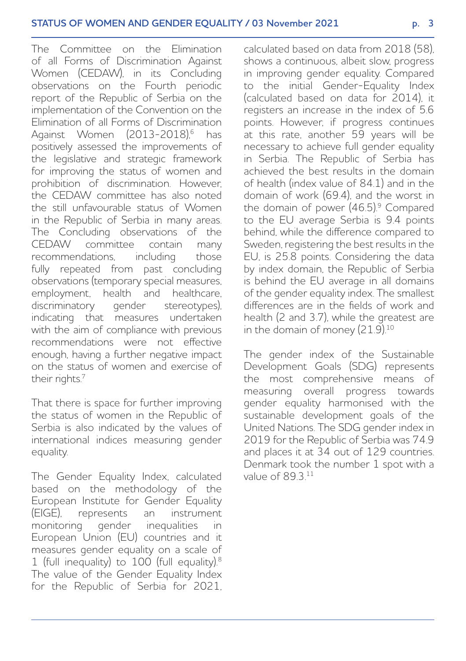The Committee on the Elimination of all Forms of Discrimination Against Women (CEDAW), in its Concluding observations on the Fourth periodic report of the Republic of Serbia on the implementation of the Convention on the Elimination of all Forms of Discrimination Against Women (2013-2018)<sup>6</sup> has positively assessed the improvements of the legislative and strategic framework for improving the status of women and prohibition of discrimination. However, the CEDAW committee has also noted the still unfavourable status of Women in the Republic of Serbia in many areas. The Concluding observations of the CEDAW committee contain many recommendations, including those fully repeated from past concluding observations (temporary special measures, employment, health and healthcare, discriminatory gender stereotypes), indicating that measures undertaken with the aim of compliance with previous recommendations were not effective enough, having a further negative impact on the status of women and exercise of their rights.<sup>7</sup>

That there is space for further improving the status of women in the Republic of Serbia is also indicated by the values of international indices measuring gender equality.

The Gender Equality Index, calculated based on the methodology of the European Institute for Gender Equality (EIGE), represents an instrument monitoring gender inequalities in European Union (EU) countries and it measures gender equality on a scale of 1 (full inequality) to 100 (full equality).8 The value of the Gender Equality Index for the Republic of Serbia for 2021, calculated based on data from 2018 (58), shows a continuous, albeit slow, progress in improving gender equality. Compared to the initial Gender-Equality Index (calculated based on data for 2014), it registers an increase in the index of 5.6 points. However, if progress continues at this rate, another 59 years will be necessary to achieve full gender equality in Serbia. The Republic of Serbia has achieved the best results in the domain of health (index value of 84.1) and in the domain of work (69.4), and the worst in the domain of power  $(46.5)^9$  Compared to the EU average Serbia is 9.4 points behind, while the difference compared to Sweden, registering the best results in the EU, is 25.8 points. Considering the data by index domain, the Republic of Serbia is behind the EU average in all domains of the gender equality index. The smallest differences are in the fields of work and health (2 and 3.7), while the greatest are in the domain of money (21.9).<sup>10</sup>

The gender index of the Sustainable Development Goals (SDG) represents the most comprehensive means of measuring overall progress towards gender equality harmonised with the sustainable development goals of the United Nations. The SDG gender index in 2019 for the Republic of Serbia was 74.9 and places it at 34 out of 129 countries. Denmark took the number 1 spot with a value of 89.3 11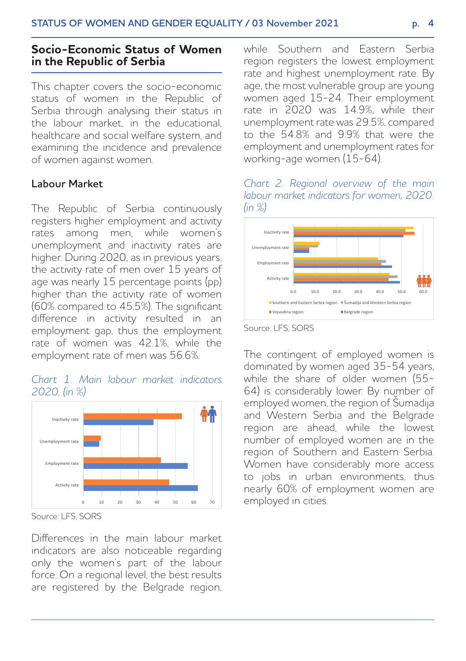# **Socio-Economic Status of Women in the Republic of Serbia**

This chapter covers the socio-economic status of women in the Republic of Serbia through analysing their status in the labour market, in the educational, healthcare and social welfare system, and examining the incidence and prevalence of women against women.

### **Labour Market**

The Republic of Serbia continuously registers higher employment and activity rates among men, while women's unemployment and inactivity rates are higher. During 2020, as in previous years, the activity rate of men over 15 years of age was nearly 15 percentage points (pp) higher than the activity rate of women (60% compared to 45.5%). The significant difference in activity resulted in an employment gap, thus the employment rate of women was 42.1%, while the employment rate of men was 56.6%.

#### *Chart 1. Main labour market indicators 2020. (in %)*



Source: LFS, SORS

Differences in the main labour market indicators are also noticeable regarding only the women's part of the labour force. On a regional level, the best results are registered by the Belgrade region, while Southern and Eastern Serbia region registers the lowest employment rate and highest unemployment rate. By age, the most vulnerable group are young women aged 15-24. Their employment rate in 2020 was 14.9%, while their unemployment rate was 29.5%, compared to the 54.8% and 9.9% that were the employment and unemployment rates for working-age women (15-64).

#### *Chart 2. Regional overview of the main labour market indicators for women, 2020. (in %)*



Source: LFS, SORS

The contingent of employed women is dominated by women aged 35-54 years, while the share of older women (55-64) is considerably lower. By number of employed women, the region of Šumadija and Western Serbia and the Belgrade region are ahead, while the lowest number of employed women are in the region of Southern and Eastern Serbia. Women have considerably more access to jobs in urban environments, thus nearly 60% of employment women are employed in cities.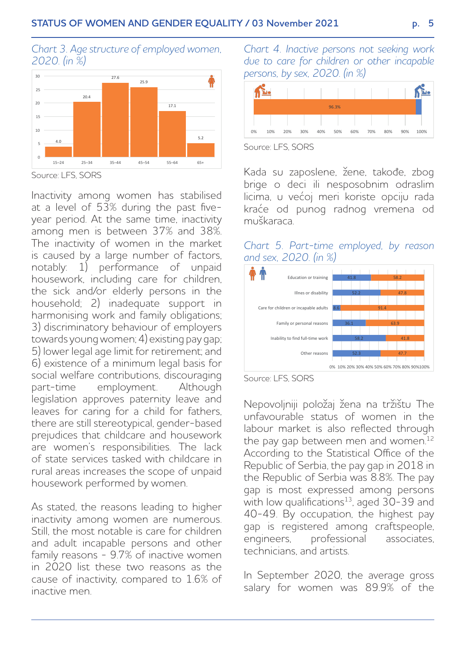



Source: LFS, SORS

Inactivity among women has stabilised at a level of 53% during the past fiveyear period. At the same time, inactivity among men is between 37% and 38%. The inactivity of women in the market is caused by a large number of factors. notably: 1) performance of unpaid housework, including care for children, the sick and/or elderly persons in the household; 2) inadequate support in harmonising work and family obligations; 3) discriminatory behaviour of employers towards young women; 4) existing pay gap; 5) lower legal age limit for retirement; and 6) existence of a minimum legal basis for social welfare contributions, discouraging<br>part-time employment Although part-time employment. legislation approves paternity leave and leaves for caring for a child for fathers, there are still stereotypical, gender-based prejudices that childcare and housework are women's responsibilities. The lack of state services tasked with childcare in rural areas increases the scope of unpaid housework performed by women.

As stated, the reasons leading to higher inactivity among women are numerous. Still, the most notable is care for children and adult incapable persons and other family reasons - 9.7% of inactive women in 2020 list these two reasons as the cause of inactivity, compared to 1.6% of inactive men.

*Chart 4. Inactive persons not seeking work due to care for children or other incapable persons, by sex, 2020. (in %)*



Source: LES, SORS

Kada su zaposlene, žene, takođe, zbog brige o deci ili nesposobnim odraslim licima, u većoj meri koriste opciju rada kraće od punog radnog vremena od muškaraca.

### *Chart 5. Part-time employed, by reason and sex, 2020. (in %)*



Source: LFS, SORS

Nepovoljniji položaj žena na tržištu The unfavourable status of women in the labour market is also reflected through the pay gap between men and women.<sup>12</sup> According to the Statistical Office of the Republic of Serbia, the pay gap in 2018 in the Republic of Serbia was 8.8%. The pay gap is most expressed among persons with low qualifications<sup>13</sup>, aged  $30-39$  and 40-49. By occupation, the highest pay gap is registered among craftspeople, engineers, professional associates, technicians, and artists.

In September 2020, the average gross salary for women was 89.9% of the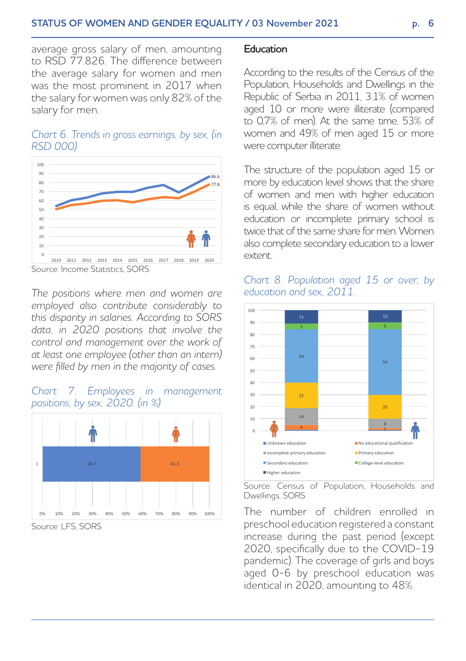average gross salary of men, amounting to RSD 77.826. The difference between the average salary for women and men was the most prominent in 2017 when the salary for women was only 82% of the salary for men.

### *Chart 6. Trends in gross earnings, by sex, (in RSD 000)*



Source: Income Statistics, SORS

*The positions where men and women are employed also contribute considerably to this disparity in salaries. According to SORS data, in 2020 positions that involve the control and management over the work of at least one employee (other than an intern) were filled by men in the majority of cases.*

# *Chart 7. Employees in management positions, by sex, 2020. (in %)*



Source: LFS, SORS

#### **Education**

According to the results of the Census of the Population, Households and Dwellings in the Republic of Serbia in 2011, 3.1% of women aged 10 or more were illiterate (compared to 0,7% of men). At the same time, 53% of women and 49% of men aged 15 or more were computer illiterate.

The structure of the population aged 15 or more by education level shows that the share of women and men with higher education is equal, while the share of women without education or incomplete primary school is twice that of the same share for men. Women also complete secondary education to a lower extent.





Source: Census of Population, Households and Dwellings, SORS

The number of children enrolled in preschool education registered a constant increase during the past period (except 2020, specifically due to the COVID-19 pandemic). The coverage of girls and boys aged 0-6 by preschool education was identical in 2020, amounting to 48%.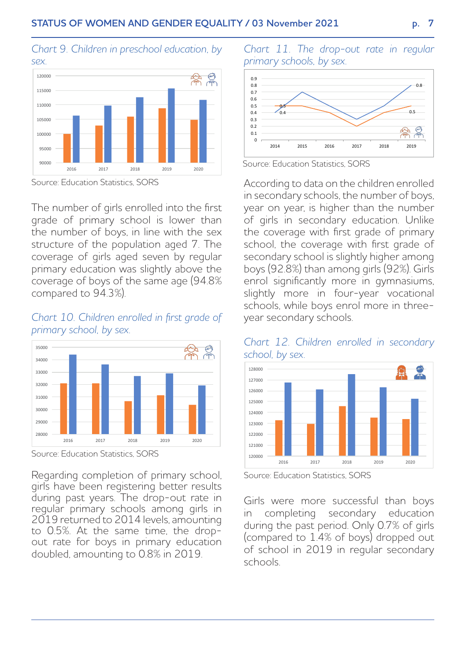# *Chart 9. Children in preschool education, by*



Source: Education Statistics, SORS

The number of girls enrolled into the first grade of primary school is lower than the number of boys, in line with the sex structure of the population aged 7. The coverage of girls aged seven by regular primary education was slightly above the coverage of boys of the same age (94.8% compared to 94.3%).

#### *Chart 10. Children enrolled in first grade of primary school, by sex.*



Source: Education Statistics, SORS

Regarding completion of primary school, girls have been registering better results during past years. The drop-out rate in regular primary schools among girls in 2019 returned to 2014 levels, amounting to 0.5%. At the same time, the dropout rate for boys in primary education doubled, amounting to 0.8% in 2019.

*Chart 11. The drop-out rate in regular primary schools, by sex.*



Source: Education Statistics, SORS

According to data on the children enrolled in secondary schools, the number of boys, year on year, is higher than the number of girls in secondary education. Unlike the coverage with first grade of primary school, the coverage with first grade of secondary school is slightly higher among boys (92.8%) than among girls (92%). Girls enrol significantly more in gymnasiums, slightly more in four-year vocational schools, while boys enrol more in threeyear secondary schools.





Source: Education Statistics, SORS

Girls were more successful than boys in completing secondary education during the past period. Only 0.7% of girls (compared to 1.4% of boys) dropped out of school in 2019 in regular secondary schools.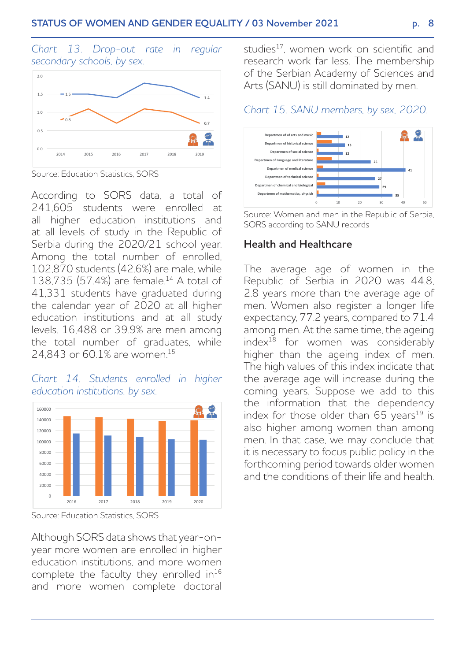*Chart 13. Drop-out rate in regular secondary schools, by sex.*



Source: Education Statistics, SORS

According to SORS data, a total of 241,605 students were enrolled at all higher education institutions and at all levels of study in the Republic of Serbia during the 2020/21 school year. Among the total number of enrolled, 102,870 students (42.6%) are male, while 138,735 (57.4%) are female.14 A total of 41,331 students have graduated during the calendar year of 2020 at all higher education institutions and at all study levels. 16,488 or 39.9% are men among the total number of graduates, while 24,843 or 60.1% are women.15





Source: Education Statistics, SORS

Although SORS data shows that year-onyear more women are enrolled in higher education institutions, and more women complete the faculty they enrolled  $in^{16}$ and more women complete doctoral

studies<sup>17</sup>, women work on scientific and research work far less. The membership of the Serbian Academy of Sciences and Arts (SANU) is still dominated by men.

# *Chart 15. SANU members, by sex, 2020.*



Source: Women and men in the Republic of Serbia, SORS according to SANU records

#### **Health and Healthcare**

The average age of women in the Republic of Serbia in 2020 was 44.8, 2.8 years more than the average age of men. Women also register a longer life expectancy, 77.2 years, compared to 71.4 among men. At the same time, the ageing index18 for women was considerably higher than the ageing index of men. The high values of this index indicate that the average age will increase during the coming years. Suppose we add to this the information that the dependency index for those older than  $65$  years<sup>19</sup> is also higher among women than among men. In that case, we may conclude that it is necessary to focus public policy in the forthcoming period towards older women and the conditions of their life and health.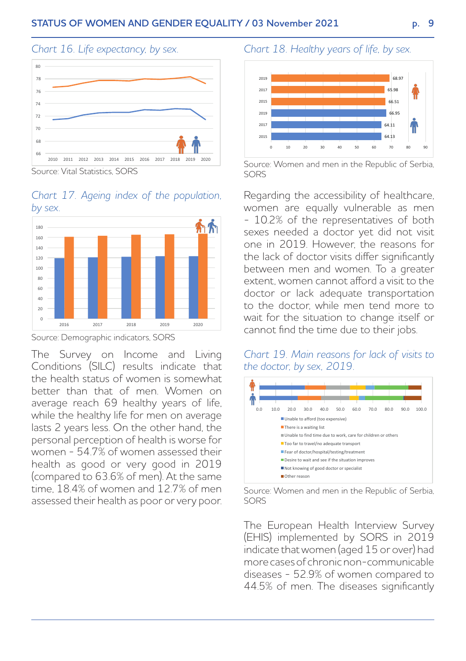# *Chart 16. Life expectancy, by sex.*



Source: Vital Statistics, SORS

#### *Chart 17. Ageing index of the population, by sex.*



Source: Demographic indicators, SORS

The Survey on Income and Living Conditions (SILC) results indicate that the health status of women is somewhat better than that of men. Women on average reach 69 healthy years of life, while the healthy life for men on average lasts 2 years less. On the other hand, the personal perception of health is worse for women - 54.7% of women assessed their health as good or very good in 2019 (compared to 63.6% of men). At the same time, 18.4% of women and 12.7% of men assessed their health as poor or very poor.

## *Chart 18. Healthy years of life, by sex.*



Source: Women and men in the Republic of Serbia, SORS

Regarding the accessibility of healthcare, women are equally vulnerable as men - 10.2% of the representatives of both sexes needed a doctor yet did not visit one in 2019. However, the reasons for the lack of doctor visits differ significantly between men and women. To a greater extent, women cannot afford a visit to the doctor or lack adequate transportation to the doctor, while men tend more to wait for the situation to change itself or cannot find the time due to their jobs.

#### *Chart 19. Main reasons for lack of visits to the doctor, by sex, 2019.*



Source: Women and men in the Republic of Serbia, SORS

The European Health Interview Survey (EHIS) implemented by SORS in 2019 indicate that women (aged 15 or over) had more cases of chronic non-communicable diseases - 52.9% of women compared to 44.5% of men. The diseases significantly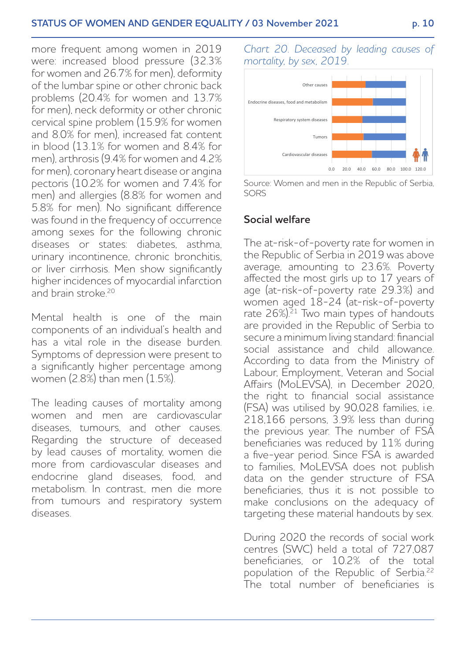more frequent among women in 2019 were: increased blood pressure (32.3% for women and 26.7% for men), deformity of the lumbar spine or other chronic back problems (20.4% for women and 13.7% for men), neck deformity or other chronic cervical spine problem (15.9% for women and 8.0% for men), increased fat content in blood (13.1% for women and 8.4% for men), arthrosis (9.4% for women and 4.2% for men), coronary heart disease or angina pectoris (10.2% for women and 7.4% for men) and allergies (8.8% for women and 5.8% for men). No significant difference was found in the frequency of occurrence among sexes for the following chronic diseases or states: diabetes asthma urinary incontinence, chronic bronchitis, or liver cirrhosis. Men show significantly higher incidences of myocardial infarction and brain stroke<sup>20</sup>

Mental health is one of the main components of an individual's health and has a vital role in the disease burden. Symptoms of depression were present to a significantly higher percentage among women (2.8%) than men (1.5%).

The leading causes of mortality among women and men are cardiovascular diseases, tumours, and other causes. Regarding the structure of deceased by lead causes of mortality, women die more from cardiovascular diseases and endocrine gland diseases, food, and metabolism. In contrast, men die more from tumours and respiratory system diseases.

*Chart 20. Deceased by leading causes of mortality, by sex, 2019.*



Source: Women and men in the Republic of Serbia, SORS

### **Social welfare**

The at-risk-of-poverty rate for women in the Republic of Serbia in 2019 was above average, amounting to 23.6%. Poverty affected the most girls up to 17 years of age (at-risk-of-poverty rate 29.3%) and women aged 18-24 (at-risk-of-poverty rate 26%).<sup>21</sup> Two main types of handouts are provided in the Republic of Serbia to secure a minimum living standard: financial social assistance and child allowance. According to data from the Ministry of Labour, Employment, Veteran and Social Affairs (MoLEVSA), in December 2020. the right to financial social assistance (FSA) was utilised by 90,028 families, i.e. 218,166 persons, 3.9% less than during the previous year. The number of FSA beneficiaries was reduced by 11% during a five-year period. Since FSA is awarded to families, MoLEVSA does not publish data on the gender structure of FSA beneficiaries, thus it is not possible to make conclusions on the adequacy of targeting these material handouts by sex.

During 2020 the records of social work centres (SWC) held a total of 727,087 beneficiaries, or 10.2% of the total population of the Republic of Serbia.22 The total number of beneficiaries is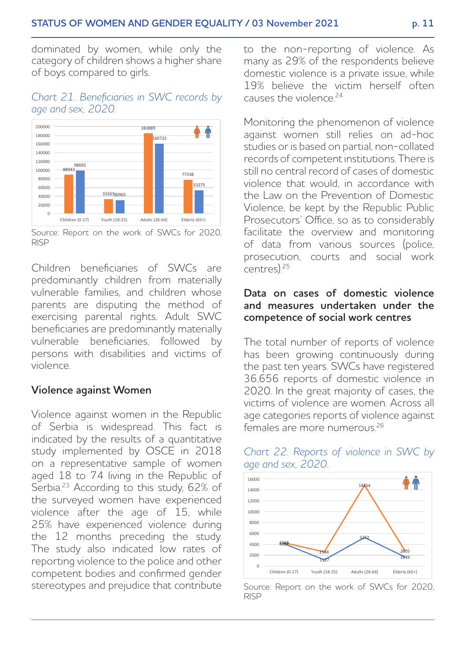dominated by women, while only the category of children shows a higher share of boys compared to girls.

#### *Chart 21. Beneficiaries in SWC records by age and sex, 2020.*



Source: Report on the work of SWCs for 2020, RISP

Children beneficiaries of SWCs are predominantly children from materially vulnerable families, and children whose parents are disputing the method of exercising parental rights. Adult SWC beneficiaries are predominantly materially vulnerable beneficiaries, followed by persons with disabilities and victims of violence.

#### **Violence against Women**

Violence against women in the Republic of Serbia is widespread. This fact is indicated by the results of a quantitative study implemented by OSCE in 2018 on a representative sample of women aged 18 to 74 living in the Republic of Serbia.23 According to this study, 62% of the surveyed women have experienced violence after the age of 15, while 25% have experienced violence during the 12 months preceding the study. The study also indicated low rates of reporting violence to the police and other competent bodies and confirmed gender stereotypes and prejudice that contribute to the non-reporting of violence. As many as 29% of the respondents believe domestic violence is a private issue, while 19% believe the victim herself often causes the violence<sup>24</sup>

Monitoring the phenomenon of violence against women still relies on ad-hoc studies or is based on partial, non-collated records of competent institutions. There is still no central record of cases of domestic violence that would, in accordance with the Law on the Prevention of Domestic Violence, be kept by the Republic Public Prosecutors' Office, so as to considerably facilitate the overview and monitoring of data from various sources (police, prosecution, courts and social work  $($ centres $)$ <sup>25</sup>

#### **Data on cases of domestic violence and measures undertaken under the competence of social work centres**

The total number of reports of violence has been growing continuously during the past ten years. SWCs have registered 36,656 reports of domestic violence in 2020. In the great majority of cases, the victims of violence are women. Across all age categories reports of violence against females are more numerous.<sup>26</sup>



*Chart 22. Reports of violence in SWC by age and sex, 2020.* 

Source: Report on the work of SWCs for 2020, RISP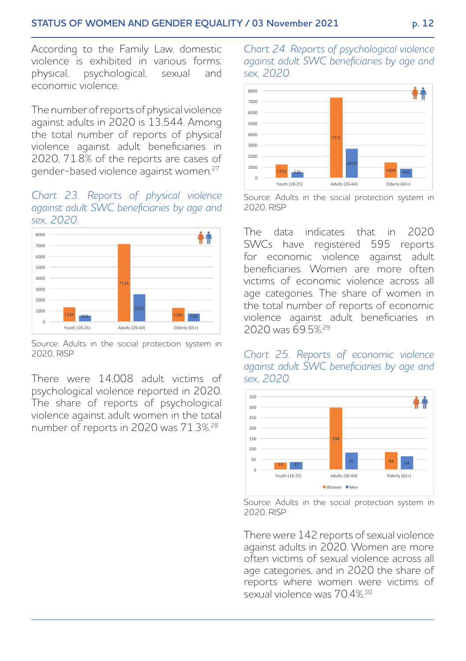According to the Family Law, domestic violence is exhibited in various forms: physical, psychological, sexual and economic violence.

The number of reports of physical violence against adults in 2020 is 13,544. Among the total number of reports of physical violence against adult beneficiaries in 2020, 71.8% of the reports are cases of gender-based violence against women.27

#### *Chart 23. Reports of physical violence against adult SWC beneficiaries by age and sex, 2020.*



Source: Adults in the social protection system in 2020, RISP

There were 14,008 adult victims of psychological violence reported in 2020. The share of reports of psychological violence against adult women in the total number of reports in 2020 was 71.3%.28

*Chart 24. Reports of psychological violence against adult SWC beneficiaries by age and sex, 2020.*



Source: Adults in the social protection system in 2020, RISP

The data indicates that in 2020 SWCs have registered 595 reports for economic violence against adult beneficiaries. Women are more often victims of economic violence across all age categories. The share of women in the total number of reports of economic violence against adult beneficiaries in 2020 was 69.5%.29

*Chart 25. Reports of economic violence against adult SWC beneficiaries by age and sex, 2020.*



Source: Adults in the social protection system in 2020, RISP

There were 142 reports of sexual violence against adults in 2020. Women are more often victims of sexual violence across all age categories, and in 2020 the share of reports where women were victims of sexual violence was 70.4%.30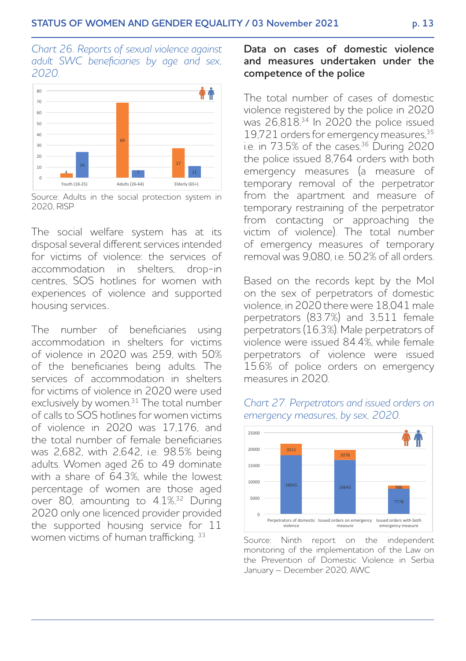*Chart 26. Reports of sexual violence against adult SWC beneficiaries by age and sex, 2020.*



Source: Adults in the social protection system in 2020, RISP

The social welfare system has at its disposal several different services intended for victims of violence: the services of accommodation in shelters, drop-in centres, SOS hotlines for women with experiences of violence and supported housing services..

The number of beneficiaries using accommodation in shelters for victims of violence in 2020 was 259, with 50% of the beneficiaries being adults. The services of accommodation in shelters for victims of violence in 2020 were used exclusively by women.<sup>31</sup> The total number of calls to SOS hotlines for women victims of violence in 2020 was 17,176, and the total number of female beneficiaries was 2,682, with 2,642, i.e. 98.5% being adults. Women aged 26 to 49 dominate with a share of 64.3% while the lowest percentage of women are those aged over 80, amounting to 4.1%.32 During 2020 only one licenced provider provided the supported housing service for 11 women victims of human trafficking. 33

#### **Data on cases of domestic violence and measures undertaken under the competence of the police**

The total number of cases of domestic violence registered by the police in 2020 was 26,818.<sup>34</sup> In 2020 the police issued 19,721 orders for emergency measures,35 i.e. in 73.5% of the cases.<sup>36</sup> During 2020 the police issued 8,764 orders with both emergency measures (a measure of temporary removal of the perpetrator from the apartment and measure of temporary restraining of the perpetrator from contacting or approaching the victim of violence). The total number of emergency measures of temporary removal was  $9,080$  i.e.  $50.2\%$  of all orders.

Based on the records kept by the MoI on the sex of perpetrators of domestic violence, in 2020 there were 18,041 male perpetrators (83.7%) and 3,511 female perpetrators (16.3%). Male perpetrators of violence were issued 84.4%, while female perpetrators of violence were issued 15.6% of police orders on emergency measures in 2020.



*Chart 27. Perpetrators and issued orders on emergency measures, by sex, 2020.*

Source: Ninth report on the independent monitoring of the implementation of the Law on the Prevention of Domestic Violence in Serbia January – December 2020, AWC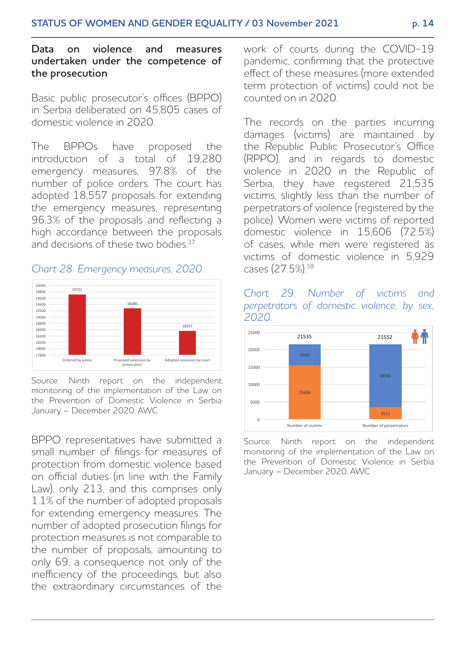#### **Data on violence and measures undertaken under the competence of the prosecution**

Basic public prosecutor's offices (BPPO) in Serbia deliberated on 45,805 cases of domestic violence in 2020.

The BPPOs have proposed the introduction of a total of 19,280 emergency measures, 97.8% of the number of police orders. The court has adopted 18,557 proposals for extending the emergency measures, representing 96.3% of the proposals and reflecting a high accordance between the proposals and decisions of these two bodies.<sup>37</sup>

#### *Chart 28. Emergency measures, 2020.*



Source: Ninth report on the independent monitoring of the implementation of the Law on the Prevention of Domestic Violence in Serbia January – December 2020, AWC

BPPO representatives have submitted a small number of filings for measures of protection from domestic violence based on official duties (in line with the Family Law), only 213, and this comprises only 1.1% of the number of adopted proposals for extending emergency measures. The number of adopted prosecution filings for protection measures is not comparable to the number of proposals, amounting to only 69, a consequence not only of the inefficiency of the proceedings, but also the extraordinary circumstances of the

work of courts during the COVID-19 pandemic, confirming that the protective effect of these measures (more extended term protection of victims) could not be counted on in 2020.

The records on the parties incurring damages (victims) are maintained by the Republic Public Prosecutor's Office (RPPO), and in regards to domestic violence in 2020 in the Republic of Serbia, they have registered 21,535 victims, slightly less than the number of perpetrators of violence (registered by the police). Women were victims of reported domestic violence in 15,606 (72.5%) of cases, while men were registered as victims of domestic violence in 5,929 cases (27.5%).38





Source: Ninth report on the independent monitoring of the implementation of the Law on the Prevention of Domestic Violence in Serbia January – December 2020, AWC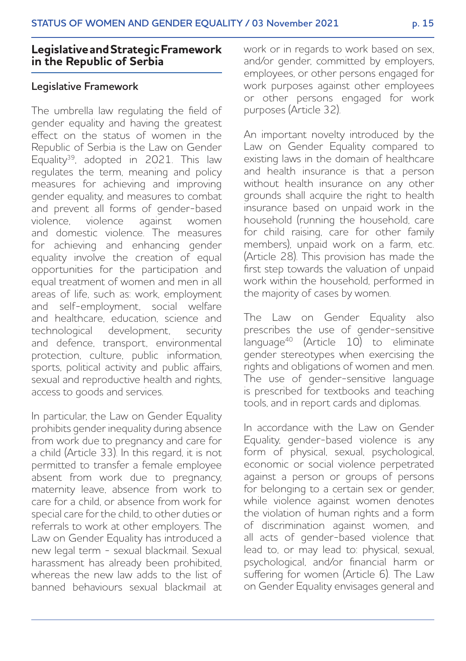# **Legislative and Strategic Framework in the Republic of Serbia**

#### **Legislative Framework**

The umbrella law regulating the field of gender equality and having the greatest effect on the status of women in the Republic of Serbia is the Law on Gender Equality<sup>39</sup>, adopted in 2021. This law regulates the term, meaning and policy measures for achieving and improving gender equality, and measures to combat and prevent all forms of gender-based violence, violence against women and domestic violence. The measures for achieving and enhancing gender equality involve the creation of equal opportunities for the participation and equal treatment of women and men in all areas of life, such as: work, employment and self-employment, social welfare and healthcare, education, science and technological development, security and defence, transport, environmental protection, culture, public information, sports, political activity and public affairs, sexual and reproductive health and rights, access to goods and services.

In particular, the Law on Gender Equality prohibits gender inequality during absence from work due to pregnancy and care for a child (Article 33). In this regard, it is not permitted to transfer a female employee absent from work due to pregnancy, maternity leave, absence from work to care for a child, or absence from work for special care for the child, to other duties or referrals to work at other employers. The Law on Gender Equality has introduced a new legal term - sexual blackmail. Sexual harassment has already been prohibited, whereas the new law adds to the list of banned behaviours sexual blackmail at work or in regards to work based on sex, and/or gender, committed by employers, employees, or other persons engaged for work purposes against other employees or other persons engaged for work purposes (Article 32).

An important novelty introduced by the Law on Gender Equality compared to existing laws in the domain of healthcare and health insurance is that a person without health insurance on any other grounds shall acquire the right to health insurance based on unpaid work in the household (running the household, care for child raising, care for other family members), unpaid work on a farm, etc. (Article 28). This provision has made the first step towards the valuation of unpaid work within the household, performed in the majority of cases by women.

The Law on Gender Equality also prescribes the use of gender-sensitive language40 (Article 10) to eliminate gender stereotypes when exercising the rights and obligations of women and men. The use of gender-sensitive language is prescribed for textbooks and teaching tools, and in report cards and diplomas.

In accordance with the Law on Gender Equality, gender-based violence is any form of physical, sexual, psychological, economic or social violence perpetrated against a person or groups of persons for belonging to a certain sex or gender, while violence against women denotes the violation of human rights and a form of discrimination against women, and all acts of gender-based violence that lead to, or may lead to: physical, sexual, psychological, and/or financial harm or suffering for women (Article 6). The Law on Gender Equality envisages general and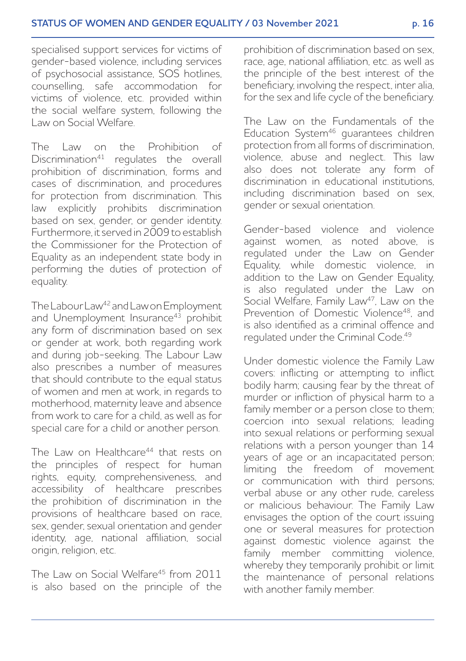specialised support services for victims of gender-based violence, including services of psychosocial assistance, SOS hotlines, counselling, safe accommodation for victims of violence, etc. provided within the social welfare system, following the Law on Social Welfare.

The Law on the Prohibition of  $Discription<sup>41</sup>$  regulates the overall prohibition of discrimination, forms and cases of discrimination, and procedures for protection from discrimination. This law explicitly prohibits discrimination based on sex, gender, or gender identity. Furthermore, it served in 2009 to establish the Commissioner for the Protection of Equality as an independent state body in performing the duties of protection of equality.

The Labour Law42 and Law on Employment and Unemployment Insurance<sup>43</sup> prohibit any form of discrimination based on sex or gender at work, both regarding work and during job-seeking. The Labour Law also prescribes a number of measures that should contribute to the equal status of women and men at work, in regards to motherhood, maternity leave and absence from work to care for a child, as well as for special care for a child or another person.

The Law on Healthcare<sup>44</sup> that rests on the principles of respect for human rights, equity, comprehensiveness, and accessibility of healthcare prescribes the prohibition of discrimination in the provisions of healthcare based on race, sex, gender, sexual orientation and gender identity, age, national affiliation, social origin, religion, etc.

The Law on Social Welfare45 from 2011 is also based on the principle of the prohibition of discrimination based on sex, race, age, national affiliation, etc. as well as the principle of the best interest of the beneficiary, involving the respect, inter alia, for the sex and life cycle of the beneficiary.

The Law on the Fundamentals of the Education System<sup>46</sup> guarantees children protection from all forms of discrimination, violence, abuse and neglect. This law also does not tolerate any form of discrimination in educational institutions, including discrimination based on sex, gender or sexual orientation.

Gender-based violence and violence against women, as noted above, is regulated under the Law on Gender Equality, while domestic violence, in addition to the Law on Gender Equality, is also regulated under the Law on Social Welfare, Family Law<sup>47</sup>, Law on the Prevention of Domestic Violence<sup>48</sup>, and is also identified as a criminal offence and regulated under the Criminal Code.49

Under domestic violence the Family Law covers: inflicting or attempting to inflict bodily harm; causing fear by the threat of murder or infliction of physical harm to a family member or a person close to them: coercion into sexual relations; leading into sexual relations or performing sexual relations with a person younger than 14 years of age or an incapacitated person; limiting the freedom of movement or communication with third persons; verbal abuse or any other rude, careless or malicious behaviour. The Family Law envisages the option of the court issuing one or several measures for protection against domestic violence against the family member committing violence, whereby they temporarily prohibit or limit the maintenance of personal relations with another family member.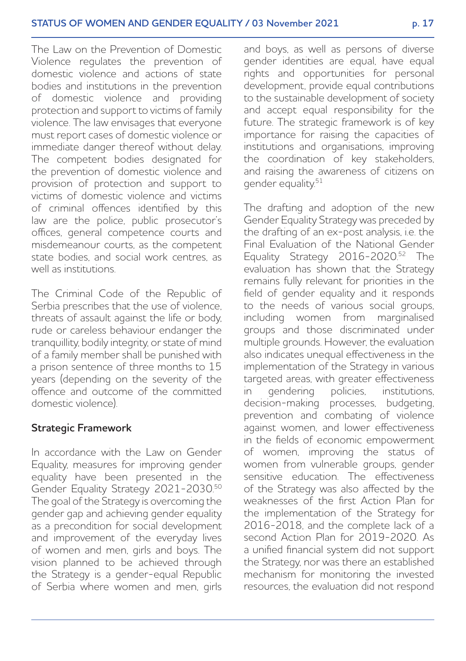The Law on the Prevention of Domestic Violence regulates the prevention of domestic violence and actions of state bodies and institutions in the prevention of domestic violence and providing protection and support to victims of family violence. The law envisages that everyone must report cases of domestic violence or immediate danger thereof without delay. The competent bodies designated for the prevention of domestic violence and provision of protection and support to victims of domestic violence and victims of criminal offences identified by this law are the police, public prosecutor's offices, general competence courts and misdemeanour courts, as the competent state bodies, and social work centres, as well as institutions.

The Criminal Code of the Republic of Serbia prescribes that the use of violence, threats of assault against the life or body, rude or careless behaviour endanger the tranquillity, bodily integrity, or state of mind of a family member shall be punished with a prison sentence of three months to 15 years (depending on the severity of the offence and outcome of the committed domestic violence).

#### **Strategic Framework**

In accordance with the Law on Gender Equality, measures for improving gender equality have been presented in the Gender Equality Strategy 2021-2030.50 The goal of the Strategy is overcoming the gender gap and achieving gender equality as a precondition for social development and improvement of the everyday lives of women and men, girls and boys. The vision planned to be achieved through the Strategy is a gender-equal Republic of Serbia where women and men, girls and boys, as well as persons of diverse gender identities are equal, have equal rights and opportunities for personal development, provide equal contributions to the sustainable development of society and accept equal responsibility for the future. The strategic framework is of key importance for raising the capacities of institutions and organisations, improving the coordination of key stakeholders, and raising the awareness of citizens on gender equality.51

The drafting and adoption of the new Gender Equality Strategy was preceded by the drafting of an ex-post analysis, i.e. the Final Evaluation of the National Gender Equality Strategy 2016-2020.<sup>52</sup> The evaluation has shown that the Strategy remains fully relevant for priorities in the field of gender equality and it responds to the needs of various social groups, including women from marginalised groups and those discriminated under multiple grounds. However, the evaluation also indicates unequal effectiveness in the implementation of the Strategy in various targeted areas, with greater effectiveness in gendering policies, institutions, decision-making processes, budgeting, prevention and combating of violence against women, and lower effectiveness in the fields of economic empowerment of women, improving the status of women from vulnerable groups, gender sensitive education. The effectiveness of the Strategy was also affected by the weaknesses of the first Action Plan for the implementation of the Strategy for 2016-2018, and the complete lack of a second Action Plan for 2019-2020. As a unified financial system did not support the Strategy, nor was there an established mechanism for monitoring the invested resources, the evaluation did not respond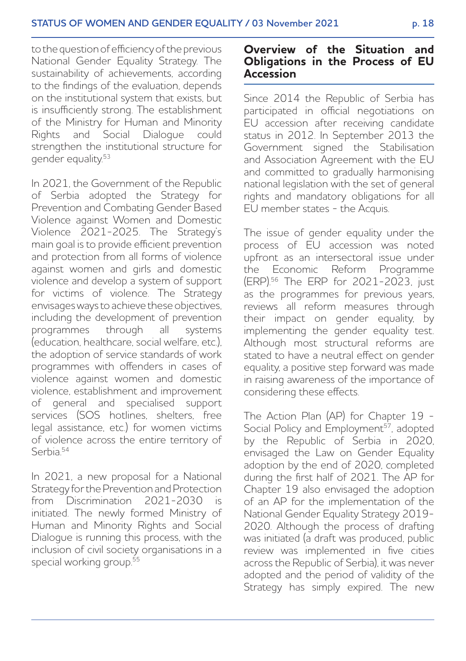to the question of efficiency of the previous National Gender Equality Strategy. The sustainability of achievements, according to the findings of the evaluation, depends on the institutional system that exists, but is insufficiently strong. The establishment of the Ministry for Human and Minority Rights and Social Dialogue could strengthen the institutional structure for gender equality.53

In 2021, the Government of the Republic of Serbia adopted the Strategy for Prevention and Combating Gender Based Violence against Women and Domestic Violence 2021-2025. The Strategy's main goal is to provide efficient prevention and protection from all forms of violence against women and girls and domestic violence and develop a system of support for victims of violence. The Strategy envisages ways to achieve these objectives, including the development of prevention<br>programmes through all systems programmes through all (education, healthcare, social welfare, etc.), the adoption of service standards of work programmes with offenders in cases of violence against women and domestic violence, establishment and improvement of general and specialised support services (SOS hotlines, shelters, free legal assistance, etc.) for women victims of violence across the entire territory of Serbia<sup>54</sup>

In 2021, a new proposal for a National Strategy for the Prevention and Protection from Discrimination 2021-2030 is initiated. The newly formed Ministry of Human and Minority Rights and Social Dialogue is running this process, with the inclusion of civil society organisations in a special working group.<sup>55</sup>

### **Overview of the Situation and Obligations in the Process of EU Accession**

Since 2014 the Republic of Serbia has participated in official negotiations on EU accession after receiving candidate status in 2012. In September 2013 the Government signed the Stabilisation and Association Agreement with the EU and committed to gradually harmonising national legislation with the set of general rights and mandatory obligations for all EU member states - the Acquis.

The issue of gender equality under the process of EU accession was noted upfront as an intersectoral issue under the Economic Reform Programme (ERP).56 The ERP for 2021-2023, just as the programmes for previous years, reviews all reform measures through their impact on gender equality, by implementing the gender equality test. Although most structural reforms are stated to have a neutral effect on gender equality, a positive step forward was made in raising awareness of the importance of considering these effects.

The Action Plan (AP) for Chapter 19 - Social Policy and Employment<sup>57</sup>, adopted by the Republic of Serbia in 2020, envisaged the Law on Gender Equality adoption by the end of 2020, completed during the first half of 2021. The AP for Chapter 19 also envisaged the adoption of an AP for the implementation of the National Gender Equality Strategy 2019- 2020. Although the process of drafting was initiated (a draft was produced, public review was implemented in five cities across the Republic of Serbia), it was never adopted and the period of validity of the Strategy has simply expired. The new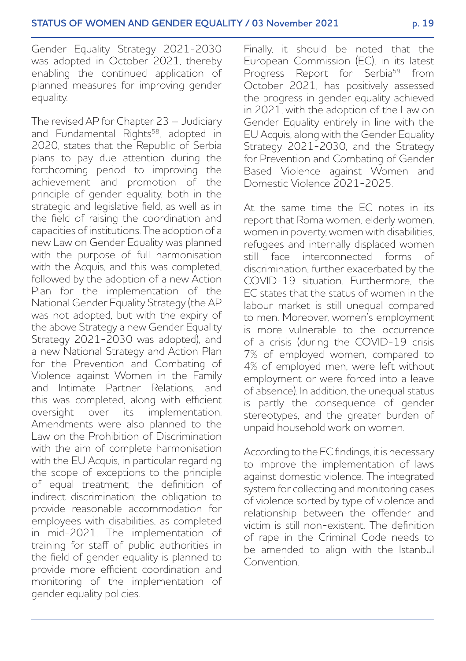Gender Equality Strategy 2021-2030 was adopted in October 2021, thereby enabling the continued application of planned measures for improving gender equality.

The revised AP for Chapter 23 – Judiciary and Fundamental Rights<sup>58</sup>, adopted in 2020, states that the Republic of Serbia plans to pay due attention during the forthcoming period to improving the achievement and promotion of the principle of gender equality, both in the strategic and legislative field, as well as in the field of raising the coordination and capacities of institutions. The adoption of a new Law on Gender Equality was planned with the purpose of full harmonisation with the Acquis, and this was completed, followed by the adoption of a new Action Plan for the implementation of the National Gender Equality Strategy (the AP was not adopted, but with the expiry of the above Strategy a new Gender Equality Strategy 2021-2030 was adopted), and a new National Strategy and Action Plan for the Prevention and Combating of Violence against Women in the Family and Intimate Partner Relations, and this was completed, along with efficient oversight over its implementation. Amendments were also planned to the Law on the Prohibition of Discrimination with the aim of complete harmonisation with the EU Acquis, in particular regarding the scope of exceptions to the principle of equal treatment; the definition of indirect discrimination; the obligation to provide reasonable accommodation for employees with disabilities, as completed in mid-2021. The implementation of training for staff of public authorities in the field of gender equality is planned to provide more efficient coordination and monitoring of the implementation of gender equality policies.

Finally, it should be noted that the European Commission (EC), in its latest Progress Report for Serbia<sup>59</sup> from October 2021, has positively assessed the progress in gender equality achieved in 2021, with the adoption of the Law on Gender Equality entirely in line with the EU Acquis, along with the Gender Equality Strategy 2021-2030, and the Strategy for Prevention and Combating of Gender Based Violence against Women and Domestic Violence 2021-2025.

At the same time the EC notes in its report that Roma women, elderly women, women in poverty, women with disabilities, refugees and internally displaced women still face interconnected forms of discrimination, further exacerbated by the COVID-19 situation. Furthermore, the EC states that the status of women in the labour market is still unequal compared to men. Moreover, women's employment is more vulnerable to the occurrence of a crisis (during the COVID-19 crisis 7% of employed women, compared to 4% of employed men, were left without employment or were forced into a leave of absence). In addition, the unequal status is partly the consequence of gender stereotypes, and the greater burden of unpaid household work on women.

According to the EC findings, it is necessary to improve the implementation of laws against domestic violence. The integrated system for collecting and monitoring cases of violence sorted by type of violence and relationship between the offender and victim is still non-existent. The definition of rape in the Criminal Code needs to be amended to align with the Istanbul Convention.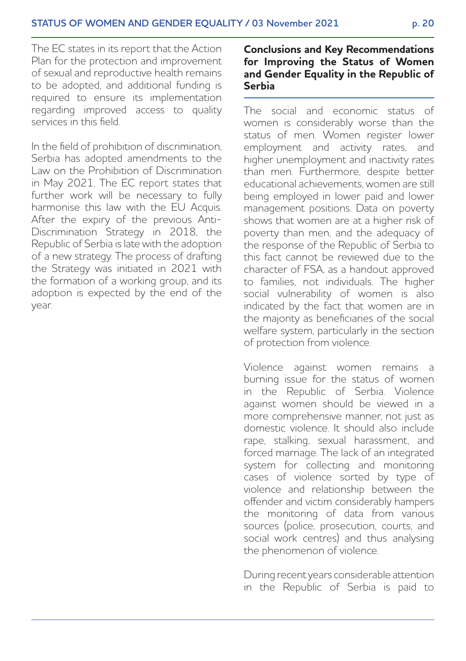The EC states in its report that the Action Plan for the protection and improvement of sexual and reproductive health remains to be adopted, and additional funding is required to ensure its implementation regarding improved access to quality services in this field.

In the field of prohibition of discrimination, Serbia has adopted amendments to the Law on the Prohibition of Discrimination in May 2021. The EC report states that further work will be necessary to fully harmonise this law with the EU Acquis. After the expiry of the previous Anti-Discrimination Strategy in 2018, the Republic of Serbia is late with the adoption of a new strategy. The process of drafting the Strategy was initiated in 2021 with the formation of a working group, and its adoption is expected by the end of the year.

#### **Conclusions and Key Recommendations for Improving the Status of Women and Gender Equality in the Republic of Serbia**

The social and economic status of women is considerably worse than the status of men. Women register lower employment and activity rates, and higher unemployment and inactivity rates than men. Furthermore, despite better educational achievements, women are still being employed in lower paid and lower management positions. Data on poverty shows that women are at a higher risk of poverty than men, and the adequacy of the response of the Republic of Serbia to this fact cannot be reviewed due to the character of FSA, as a handout approved to families, not individuals. The higher social vulnerability of women is also indicated by the fact that women are in the majority as beneficiaries of the social welfare system, particularly in the section of protection from violence.

Violence against women remains a burning issue for the status of women in the Republic of Serbia. Violence against women should be viewed in a more comprehensive manner, not just as domestic violence. It should also include rape, stalking, sexual harassment, and forced marriage. The lack of an integrated system for collecting and monitoring cases of violence sorted by type of violence and relationship between the offender and victim considerably hampers the monitoring of data from various sources (police, prosecution, courts, and social work centres) and thus analysing the phenomenon of violence.

During recent years considerable attention in the Republic of Serbia is paid to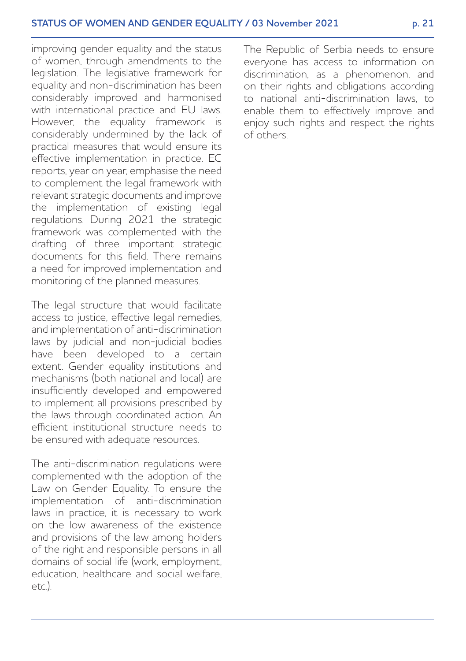improving gender equality and the status of women, through amendments to the legislation. The legislative framework for equality and non-discrimination has been considerably improved and harmonised with international practice and EU laws. However, the equality framework is considerably undermined by the lack of practical measures that would ensure its effective implementation in practice. EC reports, year on year, emphasise the need to complement the legal framework with relevant strategic documents and improve the implementation of existing legal regulations. During 2021 the strategic framework was complemented with the drafting of three important strategic documents for this field. There remains a need for improved implementation and monitoring of the planned measures.

The legal structure that would facilitate access to justice, effective legal remedies, and implementation of anti-discrimination laws by judicial and non-judicial bodies have been developed to a certain extent. Gender equality institutions and mechanisms (both national and local) are insufficiently developed and empowered to implement all provisions prescribed by the laws through coordinated action. An efficient institutional structure needs to be ensured with adequate resources.

The anti-discrimination regulations were complemented with the adoption of the Law on Gender Equality. To ensure the implementation of anti-discrimination laws in practice, it is necessary to work on the low awareness of the existence and provisions of the law among holders of the right and responsible persons in all domains of social life (work, employment, education, healthcare and social welfare,  $tr)$ 

The Republic of Serbia needs to ensure everyone has access to information on discrimination, as a phenomenon, and on their rights and obligations according to national anti-discrimination laws, to enable them to effectively improve and enjoy such rights and respect the rights of others.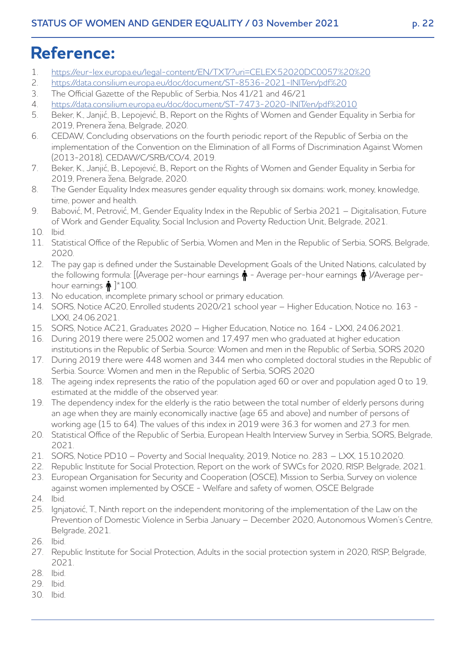# **Reference:**

- 1. <https://eur-lex.europa.eu/legal-content/EN/TXT/?uri=CELEX:52020DC0057%20%20><br>2 https://data.consilium.europa.eu/doc/document/ST-8536-2021-INIT/en/pdf%20
- 2. https://data.consilium.europa.eu/doc/document/ST-8536-2021-INIT/en/pdf%20<br>3 The Official Gazette of the Republic of Serbia Nos 41/21 and 46/21
- 3. The Official Gazette of the Republic of Serbia, Nos 41/21 and 46/21
- 4. https://data.consilium.europa.eu/doc/document/ST-7473-2020-INIT/en/pdf%2010
- 5. Beker, K., Janjić, B., Lepojević, B., Report on the Rights of Women and Gender Equality in Serbia for 2019, Prenera žena, Belgrade, 2020.
- 6. CEDAW, Concluding observations on the fourth periodic report of the Republic of Serbia on the implementation of the Convention on the Elimination of all Forms of Discrimination Against Women (2013-2018), CEDAW/C/SRB/CO/4, 2019.
- 7. Beker, K., Janjić, B., Lepojević, B., Report on the Rights of Women and Gender Equality in Serbia for 2019, Prenera žena, Belgrade, 2020.
- 8. The Gender Equality Index measures gender equality through six domains: work, money, knowledge, time, power and health.
- 9. Babović, M., Petrović, M., Gender Equality Index in the Republic of Serbia 2021 Digitalisation, Future of Work and Gender Equality, Social Inclusion and Poverty Reduction Unit, Belgrade, 2021.
- 10. Ibid.
- 11. Statistical Office of the Republic of Serbia, Women and Men in the Republic of Serbia, SORS, Belgrade, 2020.
- 12. The pay gap is defined under the Sustainable Development Goals of the United Nations, calculated by the following formula: [(Average per-hour earnings  $\dot{\phi}$  - Average per-hour earnings  $\dot{\phi}$ )/Average perhour earnings  $\hat{\phi}$  | \* 100.
- 13. No education, incomplete primary school or primary education.
- 14. SORS, Notice AC20, Enrolled students 2020/21 school year Higher Education, Notice no. 163 LXXI, 24.06.2021.
- 15. SORS, Notice AC21, Graduates 2020 Higher Education, Notice no. 164 LXXI, 24.06.2021.
- 16. During 2019 there were 25,002 women and 17,497 men who graduated at higher education institutions in the Republic of Serbia. Source: Women and men in the Republic of Serbia, SORS 2020
- 17. During 2019 there were 448 women and 344 men who completed doctoral studies in the Republic of Serbia. Source: Women and men in the Republic of Serbia, SORS 2020
- 18. The ageing index represents the ratio of the population aged 60 or over and population aged 0 to 19, estimated at the middle of the observed year.
- 19. The dependency index for the elderly is the ratio between the total number of elderly persons during an age when they are mainly economically inactive (age 65 and above) and number of persons of working age (15 to 64). The values of this index in 2019 were 36.3 for women and 27.3 for men.
- 20. Statistical Office of the Republic of Serbia, European Health Interview Survey in Serbia, SORS, Belgrade, 2021.
- 21. SORS, Notice PD10 Poverty and Social Inequality, 2019, Notice no. 283 LXX, 15.10.2020.
- 22. Republic Institute for Social Protection, Report on the work of SWCs for 2020, RISP, Belgrade, 2021.
- 23. European Organisation for Security and Cooperation (OSCE), Mission to Serbia, Survey on violence against women implemented by OSCE - Welfare and safety of women, OSCE Belgrade
- 24. Ibid.
- 25. Ignjatović, T., Ninth report on the independent monitoring of the implementation of the Law on the Prevention of Domestic Violence in Serbia January – December 2020, Autonomous Women's Centre, Belgrade, 2021.
- 26. Ibid.
- 27. Republic Institute for Social Protection, Adults in the social protection system in 2020, RISP, Belgrade, 2021.
- 28. Ibid.
- 29. Ibid.
- 30. Ibid.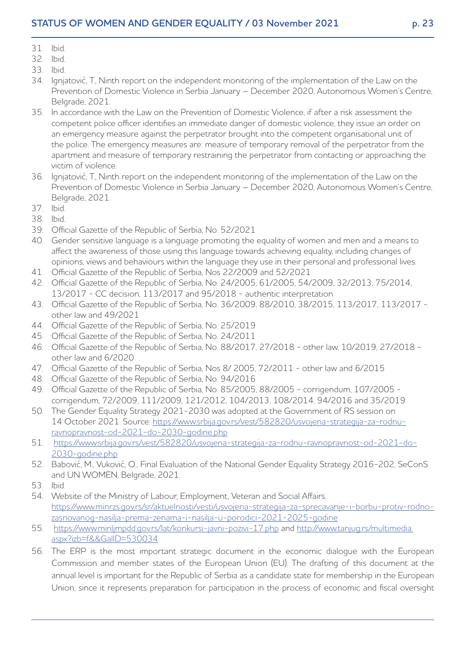- 31. Ibid.
- 32. Ibid.
- 33. Ibid.
- 34. Ignjatović, T., Ninth report on the independent monitoring of the implementation of the Law on the Prevention of Domestic Violence in Serbia January – December 2020, Autonomous Women's Centre, Belgrade, 2021.
- 35. In accordance with the Law on the Prevention of Domestic Violence, if after a risk assessment the competent police officer identifies an immediate danger of domestic violence, they issue an order on an emergency measure against the perpetrator brought into the competent organisational unit of the police. The emergency measures are: measure of temporary removal of the perpetrator from the apartment and measure of temporary restraining the perpetrator from contacting or approaching the victim of violence.
- 36. Ignjatović, T., Ninth report on the independent monitoring of the implementation of the Law on the Prevention of Domestic Violence in Serbia January – December 2020, Autonomous Women's Centre, Belgrade, 2021.
- 37. Ibid.
- 38. Ibid.
- 39. Official Gazette of the Republic of Serbia, No. 52/2021
- 40. Gender sensitive language is a language promoting the equality of women and men and a means to affect the awareness of those using this language towards achieving equality, including changes of opinions, views and behaviours within the language they use in their personal and professional lives.
- 41. Official Gazette of the Republic of Serbia, Nos 22/2009 and 52/2021
- 42. Official Gazette of the Republic of Serbia, No. 24/2005, 61/2005, 54/2009, 32/2013, 75/2014, 13/2017 - CC decision, 113/2017 and 95/2018 - authentic interpretation
- 43. Official Gazette of the Republic of Serbia, No. 36/2009, 88/2010, 38/2015, 113/2017, 113/2017 other law and 49/2021
- 44. Official Gazette of the Republic of Serbia, No. 25/2019
- 45. Official Gazette of the Republic of Serbia, No. 24/2011
- 46. Official Gazette of the Republic of Serbia, No. 88/2017, 27/2018 other law, 10/2019, 27/2018 other law and 6/2020
- 47. Official Gazette of the Republic of Serbia, Nos 8/ 2005, 72/2011 other law and 6/2015
- 48. Official Gazette of the Republic of Serbia, No. 94/2016
- 49. Official Gazette of the Republic of Serbia, No. 85/2005, 88/2005 corrigendum, 107/2005 corrigendum, 72/2009, 111/2009, 121/2012, 104/2013, 108/2014, 94/2016 and 35/2019
- 50. The Gender Equality Strategy 2021-2030 was adopted at the Government of RS session on 14 October 2021. Source: https://www.srbija.gov.rs/vest/582820/usvojena-strategija-za-rodnuravnopravnost-od-2021-do-2030-godine.php
- 51. https://www.srbija.gov.rs/vest/582820/usvojena-strategija-za-rodnu-ravnopravnost-od-2021-do-2030-godine.php
- 52. Babović, M., Vuković, O., Final Evaluation of the National Gender Equality Strategy 2016-202, SeConS and UN WOMEN, Belgrade, 2021.
- 53. Ibid.
- 54. Website of the Ministry of Labour, Employment, Veteran and Social Affairs, [https://www.minrzs.gov.rs/sr/aktuelnosti/vesti/usvojena-strategija-za-sprecavanje-i-borbu-protiv-rodno](https://www.minrzs.gov.rs/sr/aktuelnosti/vesti/usvojena-strategija-za-sprecavanje-i-borbu-protiv-rodno-zasnovanog-nasilja-prema-zenama-i-nasilja-u-porodici-2021-2025-godine)zasnovanog-nasilja-prema-zenama-i-nasilja-u-porodici-2021-2025-godine
- 55. https://www.minljmpdd.gov.rs/lat/konkursi-javni-pozivi-17.php and [http://www.tanjug.rs/multimedia.](http://www.tanjug.rs/multimedia.aspx?izb=f&&GalID=530034) [aspx?izb=f&&GalID=530034](http://www.tanjug.rs/multimedia.aspx?izb=f&&GalID=530034)
- 56. The ERP is the most important strategic document in the economic dialogue with the European Commission and member states of the European Union (EU). The drafting of this document at the annual level is important for the Republic of Serbia as a candidate state for membership in the European Union, since it represents preparation for participation in the process of economic and fiscal oversight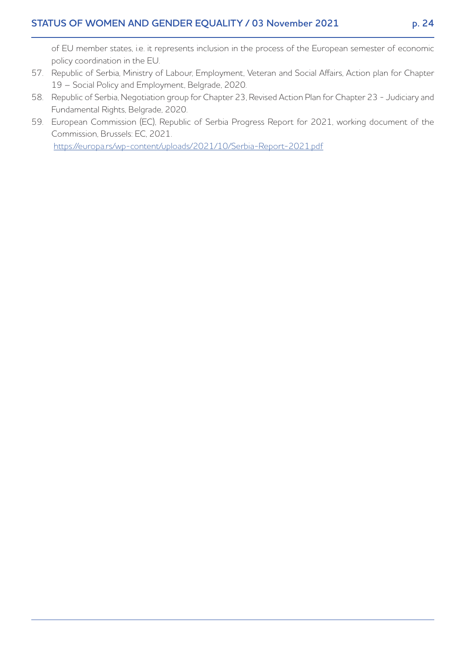of EU member states, i.e. it represents inclusion in the process of the European semester of economic policy coordination in the EU.

- 57. Republic of Serbia, Ministry of Labour, Employment, Veteran and Social Affairs, Action plan for Chapter 19 – Social Policy and Employment, Belgrade, 2020.
- 58. Republic of Serbia, Negotiation group for Chapter 23, Revised Action Plan for Chapter 23 Judiciary and Fundamental Rights, Belgrade, 2020.
- 59. European Commission (EC), Republic of Serbia Progress Report for 2021, working document of the Commission, Brussels: EC, 2021.

https://europa.rs/wp-content/uploads/2021/10/Serbia-Report-2021.pdf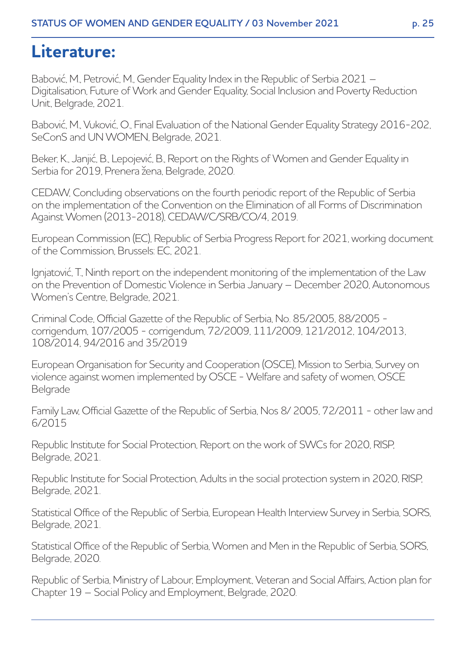# **Literature:**

Babović, M., Petrović, M., Gender Equality Index in the Republic of Serbia 2021 – Digitalisation, Future of Work and Gender Equality, Social Inclusion and Poverty Reduction Unit, Belgrade, 2021.

Babović, M., Vuković, O., Final Evaluation of the National Gender Equality Strategy 2016-202, SeConS and UN WOMEN, Belgrade, 2021.

Beker, K., Janjić, B., Lepojević, B., Report on the Rights of Women and Gender Equality in Serbia for 2019, Prenera žena, Belgrade, 2020.

CEDAW, Concluding observations on the fourth periodic report of the Republic of Serbia on the implementation of the Convention on the Elimination of all Forms of Discrimination Against Women (2013-2018), CEDAW/C/SRB/CO/4, 2019.

European Commission (EC), Republic of Serbia Progress Report for 2021, working document of the Commission, Brussels: EC, 2021.

Ignjatović, T., Ninth report on the independent monitoring of the implementation of the Law on the Prevention of Domestic Violence in Serbia January – December 2020, Autonomous Women's Centre, Belgrade, 2021.

Criminal Code, Official Gazette of the Republic of Serbia, No. 85/2005, 88/2005 corrigendum, 107/2005 - corrigendum, 72/2009, 111/2009, 121/2012, 104/2013, 108/2014, 94/2016 and 35/2019

European Organisation for Security and Cooperation (OSCE), Mission to Serbia, Survey on violence against women implemented by OSCE - Welfare and safety of women, OSCE Belgrade

Family Law, Official Gazette of the Republic of Serbia, Nos 8/ 2005, 72/2011 - other law and 6/2015

Republic Institute for Social Protection, Report on the work of SWCs for 2020, RISP, Belgrade, 2021.

Republic Institute for Social Protection, Adults in the social protection system in 2020, RISP, Belgrade, 2021.

Statistical Office of the Republic of Serbia, European Health Interview Survey in Serbia, SORS, Belgrade, 2021.

Statistical Office of the Republic of Serbia, Women and Men in the Republic of Serbia, SORS, Belgrade, 2020.

Republic of Serbia, Ministry of Labour, Employment, Veteran and Social Affairs, Action plan for Chapter 19 – Social Policy and Employment, Belgrade, 2020.